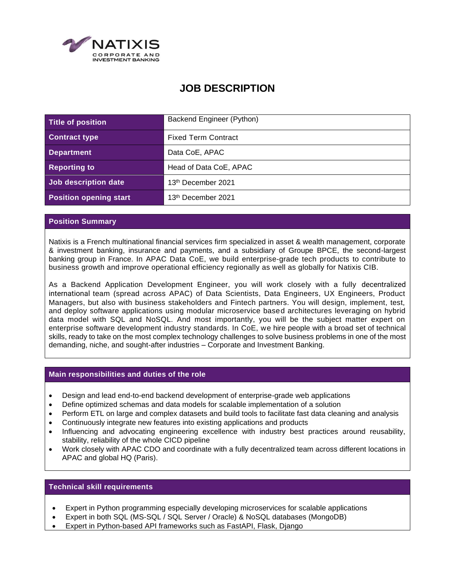

# **JOB DESCRIPTION**

| Title of position             | Backend Engineer (Python)      |
|-------------------------------|--------------------------------|
| <b>Contract type</b>          | <b>Fixed Term Contract</b>     |
| <b>Department</b>             | Data CoE, APAC                 |
| <b>Reporting to</b>           | Head of Data CoE, APAC         |
| Job description date          | 13 <sup>th</sup> December 2021 |
| <b>Position opening start</b> | 13th December 2021             |

## **Position Summary**

Natixis is a French multinational financial services firm specialized in asset & wealth management, corporate & investment banking, insurance and payments, and a subsidiary of Groupe BPCE, the second-largest banking group in France. In APAC Data CoE, we build enterprise-grade tech products to contribute to business growth and improve operational efficiency regionally as well as globally for Natixis CIB.

As a Backend Application Development Engineer, you will work closely with a fully decentralized international team (spread across APAC) of Data Scientists, Data Engineers, UX Engineers, Product Managers, but also with business stakeholders and Fintech partners. You will design, implement, test, and deploy software applications using modular microservice based architectures leveraging on hybrid data model with SQL and NoSQL. And most importantly, you will be the subject matter expert on enterprise software development industry standards. In CoE, we hire people with a broad set of technical skills, ready to take on the most complex technology challenges to solve business problems in one of the most demanding, niche, and sought-after industries – Corporate and Investment Banking.

#### **Main responsibilities and duties of the role**

- Design and lead end-to-end backend development of enterprise-grade web applications
- Define optimized schemas and data models for scalable implementation of a solution
- Perform ETL on large and complex datasets and build tools to facilitate fast data cleaning and analysis
- Continuously integrate new features into existing applications and products
- Influencing and advocating engineering excellence with industry best practices around reusability, stability, reliability of the whole CICD pipeline
- Work closely with APAC CDO and coordinate with a fully decentralized team across different locations in APAC and global HQ (Paris).

# **Technical skill requirements**

- Expert in Python programming especially developing microservices for scalable applications
- Expert in both SQL (MS-SQL / SQL Server / Oracle) & NoSQL databases (MongoDB)
- Expert in Python-based API frameworks such as FastAPI, Flask, Django